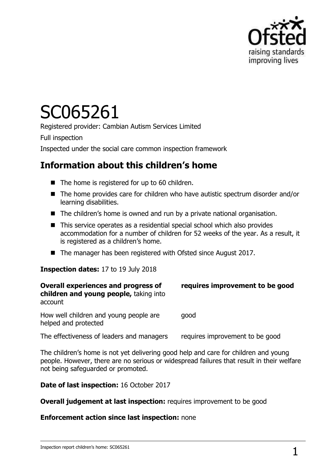

# SC065261

Registered provider: Cambian Autism Services Limited

Full inspection

Inspected under the social care common inspection framework

## **Information about this children's home**

- The home is registered for up to 60 children.
- The home provides care for children who have autistic spectrum disorder and/or learning disabilities.
- The children's home is owned and run by a private national organisation.
- This service operates as a residential special school which also provides accommodation for a number of children for 52 weeks of the year. As a result, it is registered as a children's home.
- The manager has been registered with Ofsted since August 2017.

#### **Inspection dates:** 17 to 19 July 2018

| <b>Overall experiences and progress of</b><br>children and young people, taking into<br>account | requires improvement to be good |
|-------------------------------------------------------------------------------------------------|---------------------------------|
| How well children and young people are<br>helped and protected                                  | good                            |

The effectiveness of leaders and managers requires improvement to be good

The children"s home is not yet delivering good help and care for children and young people. However, there are no serious or widespread failures that result in their welfare not being safeguarded or promoted.

**Date of last inspection:** 16 October 2017

**Overall judgement at last inspection:** requires improvement to be good

#### **Enforcement action since last inspection:** none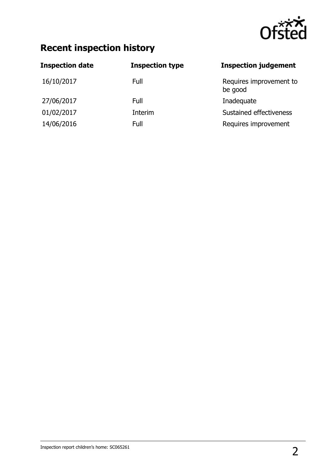

## **Recent inspection history**

| <b>Inspection date</b> | <b>Inspection type</b> | <b>Inspection judgement</b>        |
|------------------------|------------------------|------------------------------------|
| 16/10/2017             | Full                   | Requires improvement to<br>be good |
| 27/06/2017             | Full                   | Inadequate                         |
| 01/02/2017             | Interim                | Sustained effectiveness            |
| 14/06/2016             | Full                   | Requires improvement               |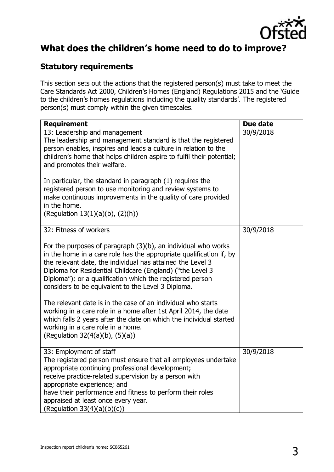

## **What does the children's home need to do to improve?**

#### **Statutory requirements**

This section sets out the actions that the registered person(s) must take to meet the Care Standards Act 2000, Children"s Homes (England) Regulations 2015 and the "Guide to the children's homes regulations including the quality standards'. The registered person(s) must comply within the given timescales.

| <b>Requirement</b>                                                                                                                                                                                                                                                                                                                                                                                                                                                                                                                                                                                                                                                     | Due date  |
|------------------------------------------------------------------------------------------------------------------------------------------------------------------------------------------------------------------------------------------------------------------------------------------------------------------------------------------------------------------------------------------------------------------------------------------------------------------------------------------------------------------------------------------------------------------------------------------------------------------------------------------------------------------------|-----------|
| 13: Leadership and management<br>The leadership and management standard is that the registered<br>person enables, inspires and leads a culture in relation to the<br>children's home that helps children aspire to fulfil their potential;<br>and promotes their welfare.<br>In particular, the standard in paragraph (1) requires the                                                                                                                                                                                                                                                                                                                                 | 30/9/2018 |
| registered person to use monitoring and review systems to<br>make continuous improvements in the quality of care provided<br>in the home.<br>(Regulation 13(1)(a)(b), (2)(h))                                                                                                                                                                                                                                                                                                                                                                                                                                                                                          |           |
| 32: Fitness of workers                                                                                                                                                                                                                                                                                                                                                                                                                                                                                                                                                                                                                                                 | 30/9/2018 |
| For the purposes of paragraph $(3)(b)$ , an individual who works<br>in the home in a care role has the appropriate qualification if, by<br>the relevant date, the individual has attained the Level 3<br>Diploma for Residential Childcare (England) ("the Level 3<br>Diploma"); or a qualification which the registered person<br>considers to be equivalent to the Level 3 Diploma.<br>The relevant date is in the case of an individual who starts<br>working in a care role in a home after 1st April 2014, the date<br>which falls 2 years after the date on which the individual started<br>working in a care role in a home.<br>(Regulation 32(4(a)(b), (5)(a)) |           |
| 33: Employment of staff<br>The registered person must ensure that all employees undertake<br>appropriate continuing professional development;<br>receive practice-related supervision by a person with<br>appropriate experience; and<br>have their performance and fitness to perform their roles<br>appraised at least once every year.<br>(Regulation $33(4)(a)(b)(c)$ )                                                                                                                                                                                                                                                                                            | 30/9/2018 |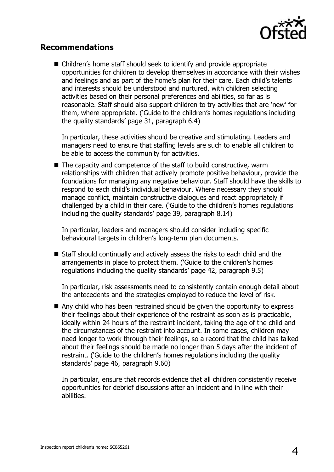

#### **Recommendations**

■ Children's home staff should seek to identify and provide appropriate opportunities for children to develop themselves in accordance with their wishes and feelings and as part of the home's plan for their care. Each child's talents and interests should be understood and nurtured, with children selecting activities based on their personal preferences and abilities, so far as is reasonable. Staff should also support children to try activities that are "new" for them, where appropriate. ("Guide to the children"s homes regulations including the quality standards" page 31, paragraph 6.4)

In particular, these activities should be creative and stimulating. Leaders and managers need to ensure that staffing levels are such to enable all children to be able to access the community for activities.

■ The capacity and competence of the staff to build constructive, warm relationships with children that actively promote positive behaviour, provide the foundations for managing any negative behaviour. Staff should have the skills to respond to each child"s individual behaviour. Where necessary they should manage conflict, maintain constructive dialogues and react appropriately if challenged by a child in their care. ("Guide to the children"s homes regulations including the quality standards' page 39, paragraph 8.14)

In particular, leaders and managers should consider including specific behavioural targets in children's long-term plan documents.

■ Staff should continually and actively assess the risks to each child and the arrangements in place to protect them. ('Guide to the children's homes regulations including the quality standards" page 42, paragraph 9.5)

In particular, risk assessments need to consistently contain enough detail about the antecedents and the strategies employed to reduce the level of risk.

■ Any child who has been restrained should be given the opportunity to express their feelings about their experience of the restraint as soon as is practicable, ideally within 24 hours of the restraint incident, taking the age of the child and the circumstances of the restraint into account. In some cases, children may need longer to work through their feelings, so a record that the child has talked about their feelings should be made no longer than 5 days after the incident of restraint. ('Guide to the children's homes regulations including the quality standards" page 46, paragraph 9.60)

In particular, ensure that records evidence that all children consistently receive opportunities for debrief discussions after an incident and in line with their abilities.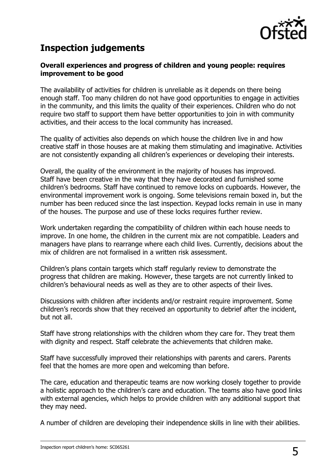

## **Inspection judgements**

#### **Overall experiences and progress of children and young people: requires improvement to be good**

The availability of activities for children is unreliable as it depends on there being enough staff. Too many children do not have good opportunities to engage in activities in the community, and this limits the quality of their experiences. Children who do not require two staff to support them have better opportunities to join in with community activities, and their access to the local community has increased.

The quality of activities also depends on which house the children live in and how creative staff in those houses are at making them stimulating and imaginative. Activities are not consistently expanding all children's experiences or developing their interests.

Overall, the quality of the environment in the majority of houses has improved. Staff have been creative in the way that they have decorated and furnished some children"s bedrooms. Staff have continued to remove locks on cupboards. However, the environmental improvement work is ongoing. Some televisions remain boxed in, but the number has been reduced since the last inspection. Keypad locks remain in use in many of the houses. The purpose and use of these locks requires further review.

Work undertaken regarding the compatibility of children within each house needs to improve. In one home, the children in the current mix are not compatible. Leaders and managers have plans to rearrange where each child lives. Currently, decisions about the mix of children are not formalised in a written risk assessment.

Children"s plans contain targets which staff regularly review to demonstrate the progress that children are making. However, these targets are not currently linked to children"s behavioural needs as well as they are to other aspects of their lives.

Discussions with children after incidents and/or restraint require improvement. Some children"s records show that they received an opportunity to debrief after the incident, but not all.

Staff have strong relationships with the children whom they care for. They treat them with dignity and respect. Staff celebrate the achievements that children make.

Staff have successfully improved their relationships with parents and carers. Parents feel that the homes are more open and welcoming than before.

The care, education and therapeutic teams are now working closely together to provide a holistic approach to the children's care and education. The teams also have good links with external agencies, which helps to provide children with any additional support that they may need.

A number of children are developing their independence skills in line with their abilities.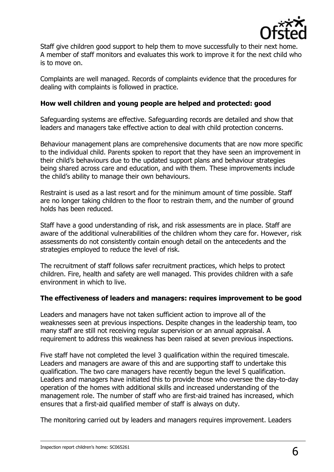

Staff give children good support to help them to move successfully to their next home. A member of staff monitors and evaluates this work to improve it for the next child who is to move on.

Complaints are well managed. Records of complaints evidence that the procedures for dealing with complaints is followed in practice.

#### **How well children and young people are helped and protected: good**

Safeguarding systems are effective. Safeguarding records are detailed and show that leaders and managers take effective action to deal with child protection concerns.

Behaviour management plans are comprehensive documents that are now more specific to the individual child. Parents spoken to report that they have seen an improvement in their child"s behaviours due to the updated support plans and behaviour strategies being shared across care and education, and with them. These improvements include the child"s ability to manage their own behaviours.

Restraint is used as a last resort and for the minimum amount of time possible. Staff are no longer taking children to the floor to restrain them, and the number of ground holds has been reduced.

Staff have a good understanding of risk, and risk assessments are in place. Staff are aware of the additional vulnerabilities of the children whom they care for. However, risk assessments do not consistently contain enough detail on the antecedents and the strategies employed to reduce the level of risk.

The recruitment of staff follows safer recruitment practices, which helps to protect children. Fire, health and safety are well managed. This provides children with a safe environment in which to live.

#### **The effectiveness of leaders and managers: requires improvement to be good**

Leaders and managers have not taken sufficient action to improve all of the weaknesses seen at previous inspections. Despite changes in the leadership team, too many staff are still not receiving regular supervision or an annual appraisal. A requirement to address this weakness has been raised at seven previous inspections.

Five staff have not completed the level 3 qualification within the required timescale. Leaders and managers are aware of this and are supporting staff to undertake this qualification. The two care managers have recently begun the level 5 qualification. Leaders and managers have initiated this to provide those who oversee the day-to-day operation of the homes with additional skills and increased understanding of the management role. The number of staff who are first-aid trained has increased, which ensures that a first-aid qualified member of staff is always on duty.

The monitoring carried out by leaders and managers requires improvement. Leaders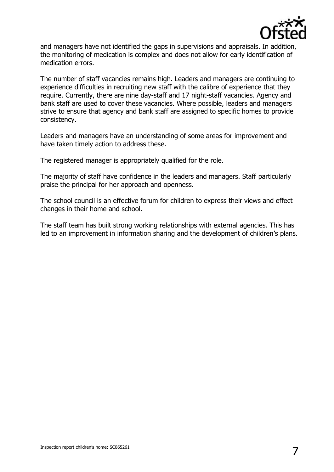

and managers have not identified the gaps in supervisions and appraisals. In addition, the monitoring of medication is complex and does not allow for early identification of medication errors.

The number of staff vacancies remains high. Leaders and managers are continuing to experience difficulties in recruiting new staff with the calibre of experience that they require. Currently, there are nine day-staff and 17 night-staff vacancies. Agency and bank staff are used to cover these vacancies. Where possible, leaders and managers strive to ensure that agency and bank staff are assigned to specific homes to provide consistency.

Leaders and managers have an understanding of some areas for improvement and have taken timely action to address these.

The registered manager is appropriately qualified for the role.

The majority of staff have confidence in the leaders and managers. Staff particularly praise the principal for her approach and openness.

The school council is an effective forum for children to express their views and effect changes in their home and school.

The staff team has built strong working relationships with external agencies. This has led to an improvement in information sharing and the development of children's plans.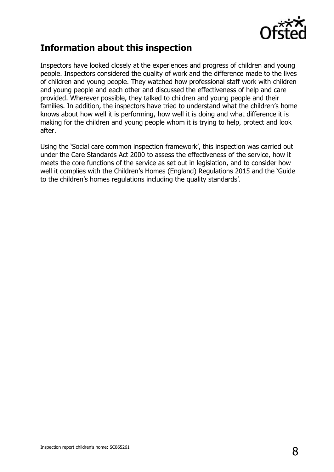

## **Information about this inspection**

Inspectors have looked closely at the experiences and progress of children and young people. Inspectors considered the quality of work and the difference made to the lives of children and young people. They watched how professional staff work with children and young people and each other and discussed the effectiveness of help and care provided. Wherever possible, they talked to children and young people and their families. In addition, the inspectors have tried to understand what the children's home knows about how well it is performing, how well it is doing and what difference it is making for the children and young people whom it is trying to help, protect and look after.

Using the 'Social care common inspection framework', this inspection was carried out under the Care Standards Act 2000 to assess the effectiveness of the service, how it meets the core functions of the service as set out in legislation, and to consider how well it complies with the Children's Homes (England) Regulations 2015 and the 'Guide to the children's homes regulations including the quality standards'.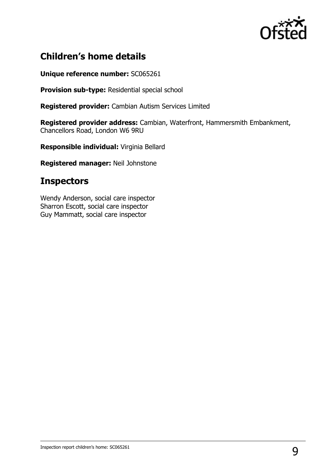

## **Children's home details**

**Unique reference number:** SC065261

**Provision sub-type:** Residential special school

**Registered provider:** Cambian Autism Services Limited

**Registered provider address:** Cambian, Waterfront, Hammersmith Embankment, Chancellors Road, London W6 9RU

**Responsible individual:** Virginia Bellard

**Registered manager:** Neil Johnstone

## **Inspectors**

Wendy Anderson, social care inspector Sharron Escott, social care inspector Guy Mammatt, social care inspector